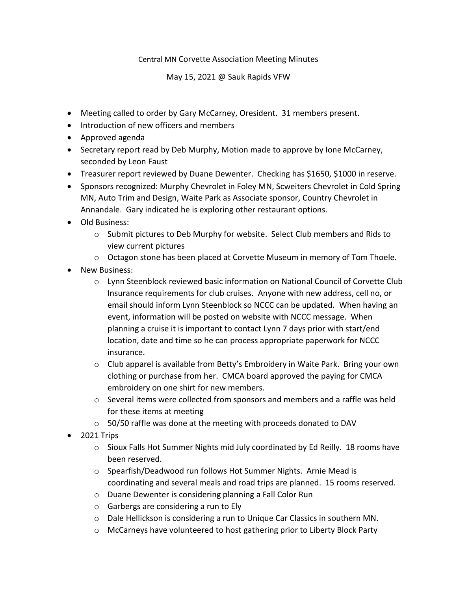## Central MN Corvette Association Meeting Minutes

May 15, 2021 @ Sauk Rapids VFW

- Meeting called to order by Gary McCarney, Oresident. 31 members present.
- Introduction of new officers and members
- Approved agenda
- Secretary report read by Deb Murphy, Motion made to approve by Ione McCarney, seconded by Leon Faust
- Treasurer report reviewed by Duane Dewenter. Checking has \$1650, \$1000 in reserve.
- Sponsors recognized: Murphy Chevrolet in Foley MN, Scweiters Chevrolet in Cold Spring MN, Auto Trim and Design, Waite Park as Associate sponsor, Country Chevrolet in Annandale. Gary indicated he is exploring other restaurant options.
- Old Business:
	- o Submit pictures to Deb Murphy for website. Select Club members and Rids to view current pictures
	- $\circ$  Octagon stone has been placed at Corvette Museum in memory of Tom Thoele.
- New Business:
	- o Lynn Steenblock reviewed basic information on National Council of Corvette Club Insurance requirements for club cruises. Anyone with new address, cell no, or email should inform Lynn Steenblock so NCCC can be updated. When having an event, information will be posted on website with NCCC message. When planning a cruise it is important to contact Lynn 7 days prior with start/end location, date and time so he can process appropriate paperwork for NCCC insurance.
	- $\circ$  Club apparel is available from Betty's Embroidery in Waite Park. Bring your own clothing or purchase from her. CMCA board approved the paying for CMCA embroidery on one shirt for new members.
	- $\circ$  Several items were collected from sponsors and members and a raffle was held for these items at meeting
	- $\circ$  50/50 raffle was done at the meeting with proceeds donated to DAV
- 2021 Trips
	- o Sioux Falls Hot Summer Nights mid July coordinated by Ed Reilly. 18 rooms have been reserved.
	- o Spearfish/Deadwood run follows Hot Summer Nights. Arnie Mead is coordinating and several meals and road trips are planned. 15 rooms reserved.
	- o Duane Dewenter is considering planning a Fall Color Run
	- o Garbergs are considering a run to Ely
	- o Dale Hellickson is considering a run to Unique Car Classics in southern MN.
	- o McCarneys have volunteered to host gathering prior to Liberty Block Party